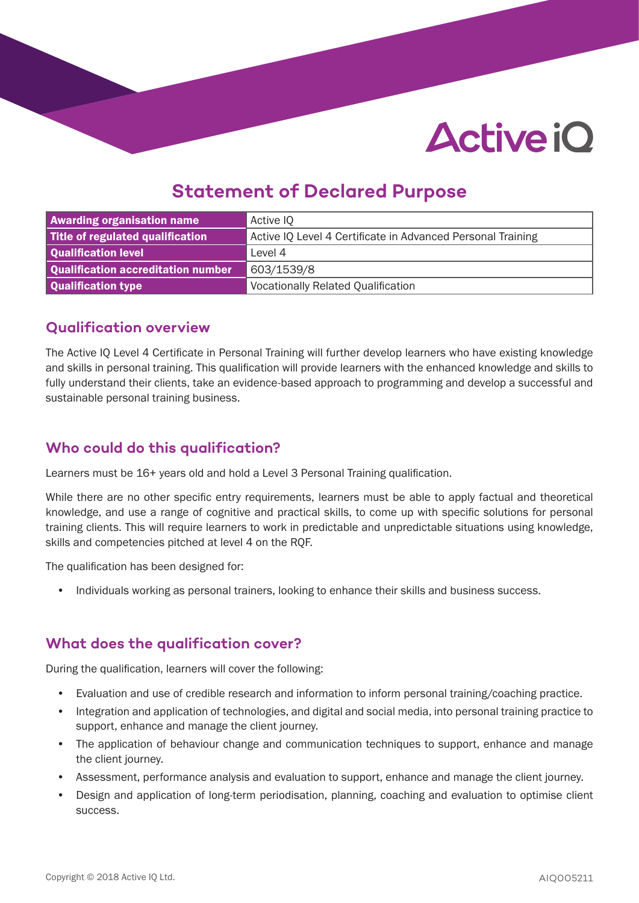# **Active iO**

# **Statement of Declared Purpose**

| <b>Awarding organisation name</b>  | Active IQ                                                   |  |
|------------------------------------|-------------------------------------------------------------|--|
| Title of regulated qualification   | Active IQ Level 4 Certificate in Advanced Personal Training |  |
| Qualification level                | Level 4                                                     |  |
| Qualification accreditation number | 1603/1539/8                                                 |  |
| Qualification type                 | <b>Vocationally Related Qualification</b>                   |  |

#### **Qualification overview**

The Active IQ Level 4 Certificate in Personal Training will further develop learners who have existing knowledge and skills in personal training. This qualification will provide learners with the enhanced knowledge and skills to fully understand their clients, take an evidence-based approach to programming and develop a successful and sustainable personal training business.

# **Who could do this qualification?**

Learners must be 16+ years old and hold a Level 3 Personal Training qualification.

While there are no other specific entry requirements, learners must be able to apply factual and theoretical knowledge, and use a range of cognitive and practical skills, to come up with specific solutions for personal training clients. This will require learners to work in predictable and unpredictable situations using knowledge, skills and competencies pitched at level 4 on the RQF.

The qualification has been designed for:

• Individuals working as personal trainers, looking to enhance their skills and business success.

### **What does the qualification cover?**

During the qualification, learners will cover the following:

- Evaluation and use of credible research and information to inform personal training/coaching practice.
- Integration and application of technologies, and digital and social media, into personal training practice to support, enhance and manage the client journey.
- The application of behaviour change and communication techniques to support, enhance and manage the client journey.
- Assessment, performance analysis and evaluation to support, enhance and manage the client journey.
- Design and application of long-term periodisation, planning, coaching and evaluation to optimise client success.